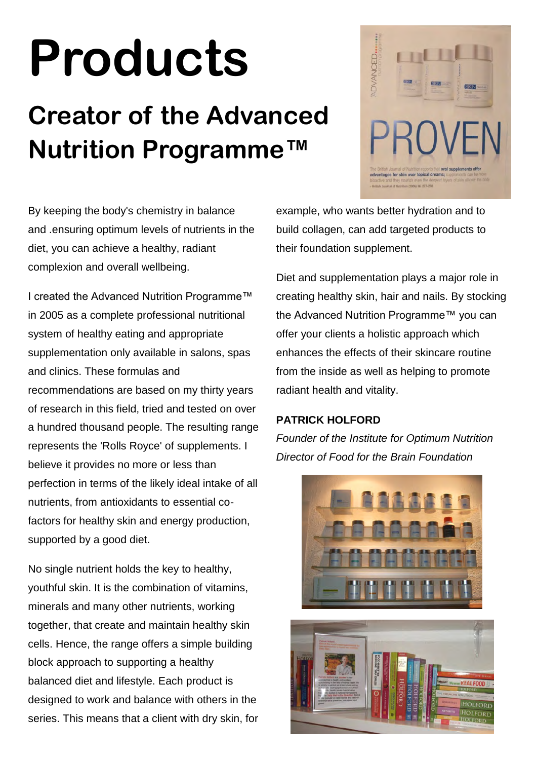# **Products**

### **Creator of the Advanced Nutrition Programme™**



By keeping the body's chemistry in balance and .ensuring optimum levels of nutrients in the diet, you can achieve a healthy, radiant complexion and overall wellbeing.

I created the Advanced Nutrition Programme™ in 2005 as a complete professional nutritional system of healthy eating and appropriate supplementation only available in salons, spas and clinics. These formulas and recommendations are based on my thirty years of research in this field, tried and tested on over a hundred thousand people. The resulting range represents the 'Rolls Royce' of supplements. I believe it provides no more or less than perfection in terms of the likely ideal intake of all nutrients, from antioxidants to essential cofactors for healthy skin and energy production, supported by a good diet.

No single nutrient holds the key to healthy, youthful skin. It is the combination of vitamins, minerals and many other nutrients, working together, that create and maintain healthy skin cells. Hence, the range offers a simple building block approach to supporting a healthy balanced diet and lifestyle. Each product is designed to work and balance with others in the series. This means that a client with dry skin, for example, who wants better hydration and to build collagen, can add targeted products to their foundation supplement.

Diet and supplementation plays a major role in creating healthy skin, hair and nails. By stocking the Advanced Nutrition Programme™ you can offer your clients a holistic approach which enhances the effects of their skincare routine from the inside as well as helping to promote radiant health and vitality.

#### **PATRICK HOLFORD**

*Founder of the Institute for Optimum Nutrition Director of Food for the Brain Foundation*

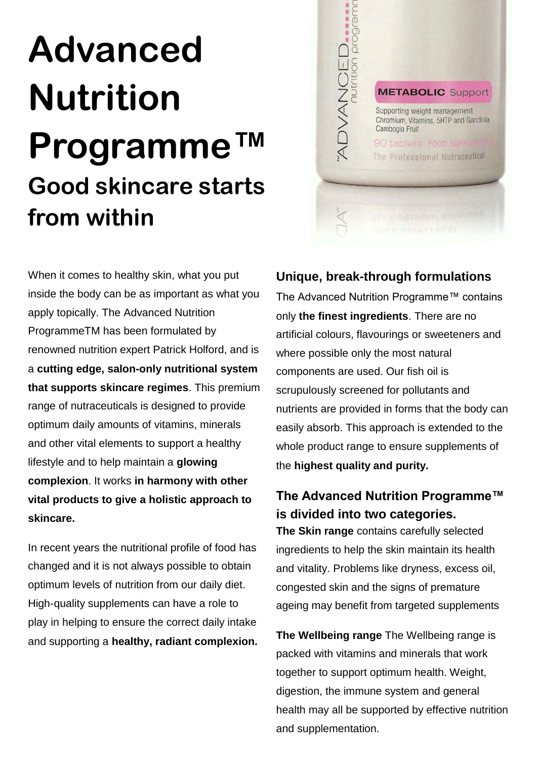### **Advanced Nutrition Programme™ Good skincare starts from within**



When it comes to healthy skin, what you put inside the body can be as important as what you apply topically. The Advanced Nutrition ProgrammeTM has been formulated by renowned nutrition expert Patrick Holford, and is a **cutting edge, salon-only nutritional system that supports skincare regimes**. This premium range of nutraceuticals is designed to provide optimum daily amounts of vitamins, minerals and other vital elements to support a healthy lifestyle and to help maintain a **glowing complexion**. It works **in harmony with other vital products to give a holistic approach to skincare.** 

In recent years the nutritional profile of food has changed and it is not always possible to obtain optimum levels of nutrition from our daily diet. High-quality supplements can have a role to play in helping to ensure the correct daily intake and supporting a **healthy, radiant complexion.** 

#### **Unique, break-through formulations**

The Advanced Nutrition Programme™ contains only **the finest ingredients**. There are no artificial colours, flavourings or sweeteners and where possible only the most natural components are used. Our fish oil is scrupulously screened for pollutants and nutrients are provided in forms that the body can easily absorb. This approach is extended to the whole product range to ensure supplements of the **highest quality and purity.**

#### **The Advanced Nutrition Programme™ is divided into two categories.**

**The Skin range** contains carefully selected ingredients to help the skin maintain its health and vitality. Problems like dryness, excess oil, congested skin and the signs of premature ageing may benefit from targeted supplements

**The Wellbeing range** The Wellbeing range is packed with vitamins and minerals that work together to support optimum health. Weight, digestion, the immune system and general health may all be supported by effective nutrition and supplementation.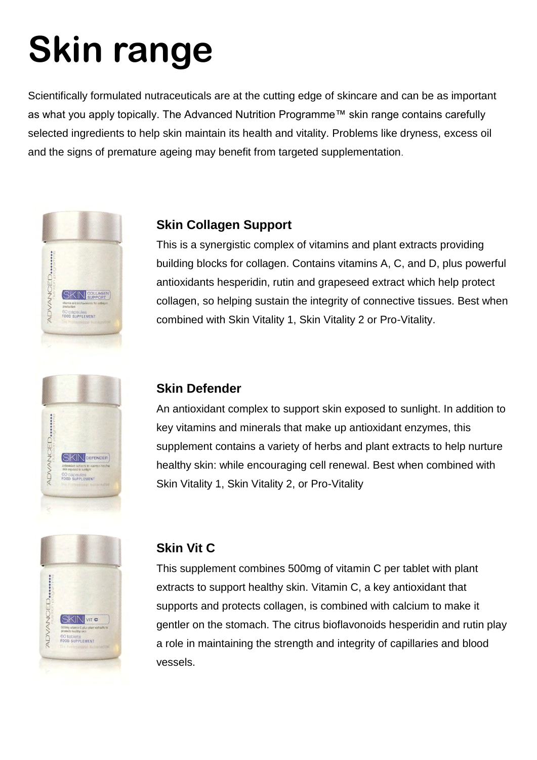## **Skin range**

Scientifically formulated nutraceuticals are at the cutting edge of skincare and can be as important as what you apply topically. The Advanced Nutrition Programme™ skin range contains carefully selected ingredients to help skin maintain its health and vitality. Problems like dryness, excess oil and the signs of premature ageing may benefit from targeted supplementation.





#### **Skin Collagen Support**

This is a synergistic complex of vitamins and plant extracts providing building blocks for collagen. Contains vitamins A, C, and D, plus powerful antioxidants hesperidin, rutin and grapeseed extract which help protect collagen, so helping sustain the integrity of connective tissues. Best when combined with Skin Vitality 1, Skin Vitality 2 or Pro-Vitality.

#### **Skin Defender**

An antioxidant complex to support skin exposed to sunlight. In addition to key vitamins and minerals that make up antioxidant enzymes, this supplement contains a variety of herbs and plant extracts to help nurture healthy skin: while encouraging cell renewal. Best when combined with Skin Vitality 1, Skin Vitality 2, or Pro-Vitality



#### **Skin Vit C**

This supplement combines 500mg of vitamin C per tablet with plant extracts to support healthy skin. Vitamin C, a key antioxidant that supports and protects collagen, is combined with calcium to make it gentler on the stomach. The citrus bioflavonoids hesperidin and rutin play a role in maintaining the strength and integrity of capillaries and blood vessels.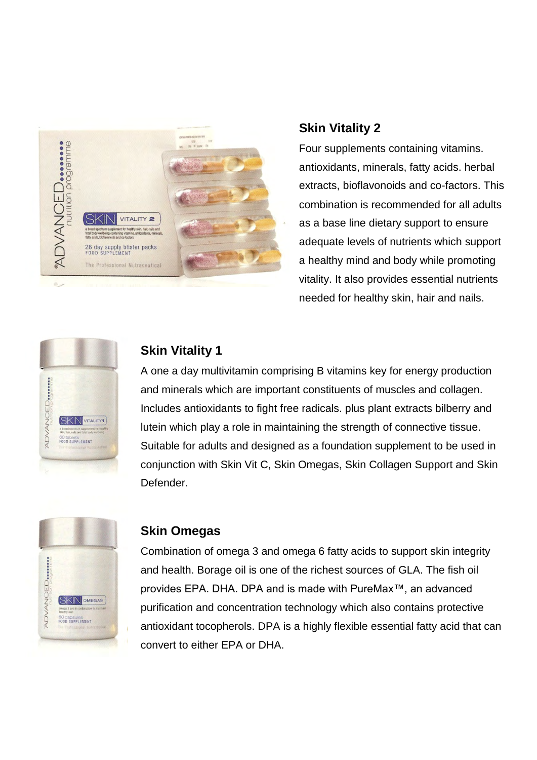

#### **Skin Vitality 2**

Four supplements containing vitamins. antioxidants, minerals, fatty acids. herbal extracts, bioflavonoids and co-factors. This combination is recommended for all adults as a base line dietary support to ensure adequate levels of nutrients which support a healthy mind and body while promoting vitality. It also provides essential nutrients needed for healthy skin, hair and nails.



### **Skin Vitality 1**

A one a day multivitamin comprising B vitamins key for energy production and minerals which are important constituents of muscles and collagen. Includes antioxidants to fight free radicals. plus plant extracts bilberry and lutein which play a role in maintaining the strength of connective tissue. Suitable for adults and designed as a foundation supplement to be used in conjunction with Skin Vit C, Skin Omegas, Skin Collagen Support and Skin Defender.



#### **Skin Omegas**

Combination of omega 3 and omega 6 fatty acids to support skin integrity and health. Borage oil is one of the richest sources of GLA. The fish oil provides EPA. DHA. DPA and is made with PureMax™, an advanced purification and concentration technology which also contains protective antioxidant tocopherols. DPA is a highly flexible essential fatty acid that can convert to either EPA or DHA.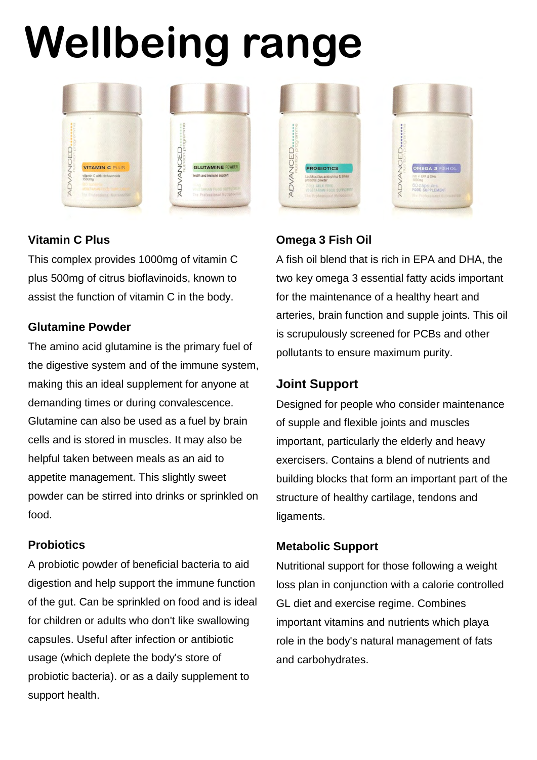# **Wellbeing range**



#### **Vitamin C Plus**

This complex provides 1000mg of vitamin C plus 500mg of citrus bioflavinoids, known to assist the function of vitamin C in the body.

#### **Glutamine Powder**

The amino acid glutamine is the primary fuel of the digestive system and of the immune system, making this an ideal supplement for anyone at demanding times or during convalescence. Glutamine can also be used as a fuel by brain cells and is stored in muscles. It may also be helpful taken between meals as an aid to appetite management. This slightly sweet powder can be stirred into drinks or sprinkled on food.

#### **Probiotics**

A probiotic powder of beneficial bacteria to aid digestion and help support the immune function of the gut. Can be sprinkled on food and is ideal for children or adults who don't like swallowing capsules. Useful after infection or antibiotic usage (which deplete the body's store of probiotic bacteria). or as a daily supplement to support health.



#### **Omega 3 Fish Oil**

A fish oil blend that is rich in EPA and DHA, the two key omega 3 essential fatty acids important for the maintenance of a healthy heart and arteries, brain function and supple joints. This oil is scrupulously screened for PCBs and other pollutants to ensure maximum purity.

#### **Joint Support**

Designed for people who consider maintenance of supple and flexible joints and muscles important, particularly the elderly and heavy exercisers. Contains a blend of nutrients and building blocks that form an important part of the structure of healthy cartilage, tendons and ligaments.

#### **Metabolic Support**

Nutritional support for those following a weight loss plan in conjunction with a calorie controlled GL diet and exercise regime. Combines important vitamins and nutrients which playa role in the body's natural management of fats and carbohydrates.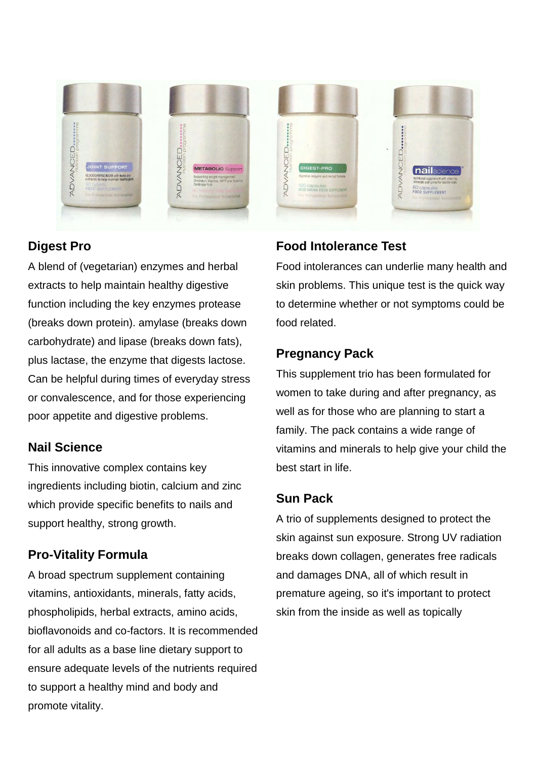

#### **Digest Pro**

A blend of (vegetarian) enzymes and herbal extracts to help maintain healthy digestive function including the key enzymes protease (breaks down protein). amylase (breaks down carbohydrate) and lipase (breaks down fats), plus lactase, the enzyme that digests lactose. Can be helpful during times of everyday stress or convalescence, and for those experiencing poor appetite and digestive problems.

#### **Nail Science**

This innovative complex contains key ingredients including biotin, calcium and zinc which provide specific benefits to nails and support healthy, strong growth.

#### **Pro-Vitality Formula**

A broad spectrum supplement containing vitamins, antioxidants, minerals, fatty acids, phospholipids, herbal extracts, amino acids, bioflavonoids and co-factors. It is recommended for all adults as a base line dietary support to ensure adequate levels of the nutrients required to support a healthy mind and body and promote vitality.

#### **Food Intolerance Test**

Food intolerances can underlie many health and skin problems. This unique test is the quick way to determine whether or not symptoms could be food related.

#### **Pregnancy Pack**

This supplement trio has been formulated for women to take during and after pregnancy, as well as for those who are planning to start a family. The pack contains a wide range of vitamins and minerals to help give your child the best start in life.

#### **Sun Pack**

A trio of supplements designed to protect the skin against sun exposure. Strong UV radiation breaks down collagen, generates free radicals and damages DNA, all of which result in premature ageing, so it's important to protect skin from the inside as well as topically